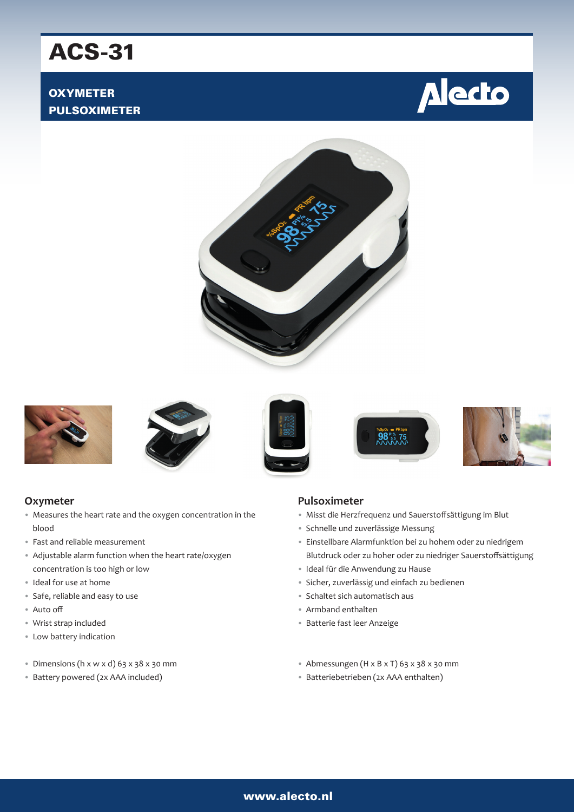# ACS-31

# **OXYMETER** PULSOXIMETER









#### **Oxymeter**

- Measures the heart rate and the oxygen concentration in the blood
- Fast and reliable measurement
- Adjustable alarm function when the heart rate/oxygen concentration is too high or low
- Ideal for use at home
- Safe, reliable and easy to use
- Auto off
- Wrist strap included
- Low battery indication
- Dimensions (h x w x d) 63 x 38 x 30 mm
- Battery powered (2x AAA included)

#### **Pulsoximeter**

• Misst die Herzfrequenz und Sauerstoffsättigung im Blut

 $98^{P1\%}_{5.5}$  75

- Schnelle und zuverlässige Messung
- Einstellbare Alarmfunktion bei zu hohem oder zu niedrigem Blutdruck oder zu hoher oder zu niedriger Sauerstoffsättigung
- Ideal für die Anwendung zu Hause
- Sicher, zuverlässig und einfach zu bedienen
- Schaltet sich automatisch aus
- Armband enthalten
- Batterie fast leer Anzeige
- Abmessungen (H x B x T) 63 x 38 x 30 mm
- Batteriebetrieben (2x AAA enthalten)

www.alecto.nl